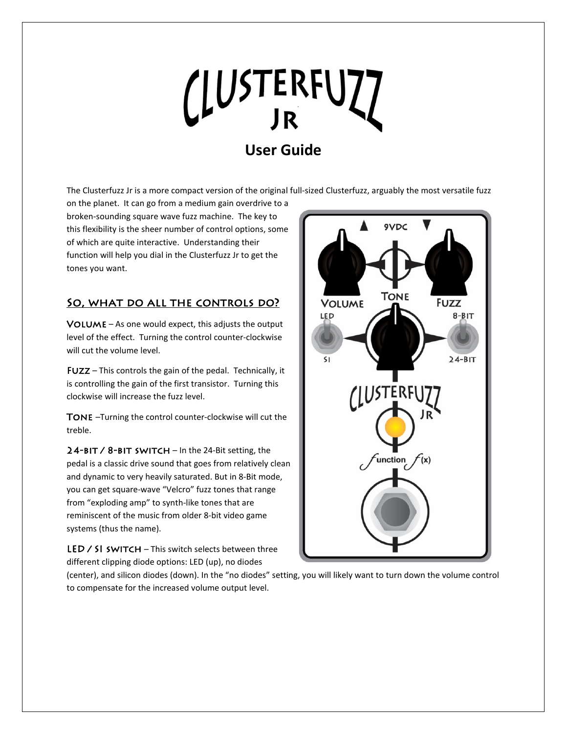# CLUSTERFUZZ

# **User Guide**

The Clusterfuzz Jr is a more compact version of the original full-sized Clusterfuzz, arguably the most versatile fuzz

on the planet. It can go from a medium gain overdrive to a broken-sounding square wave fuzz machine. The key to this flexibility is the sheer number of control options, some of which are quite interactive. Understanding their function will help you dial in the Clusterfuzz Jr to get the tones you want.

## SO, WHAT DO ALL THE CONTROLS DO?

 $VOLUME - As one would expect, this adjusts the output$ level of the effect. Turning the control counter-clockwise will cut the volume level.

Fuzz – This controls the gain of the pedal. Technically, it is controlling the gain of the first transistor. Turning this clockwise will increase the fuzz level.

Tone –Turning the control counter-clockwise will cut the treble.

 $24$ -BIT / 8-BIT SWITCH – In the 24-Bit setting, the pedal is a classic drive sound that goes from relatively clean and dynamic to very heavily saturated. But in 8-Bit mode, you can get square-wave "Velcro" fuzz tones that range from "exploding amp" to synth-like tones that are reminiscent of the music from older 8-bit video game systems (thus the name).

LED  $\angle$  SI switch – This switch selects between three different clipping diode options: LED (up), no diodes



(center), and silicon diodes (down). In the "no diodes" setting, you will likely want to turn down the volume control to compensate for the increased volume output level.